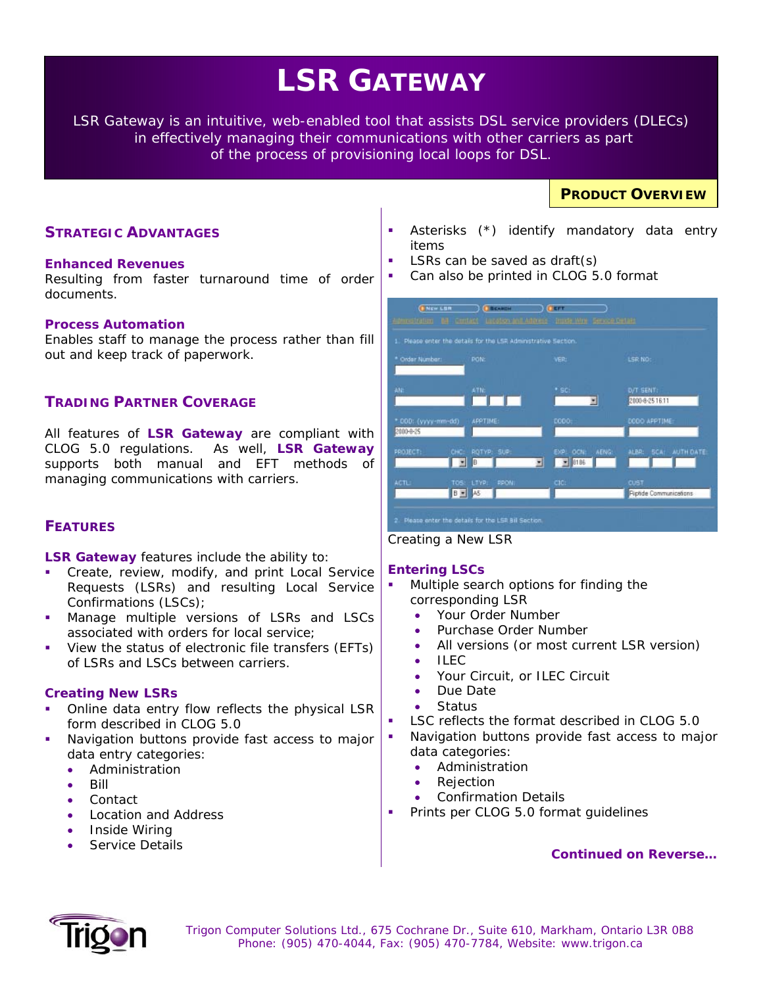# **LSR GATEWAY**

*LSR Gateway is an intuitive, web-enabled tool that assists DSL service providers (DLECs) in effectively managing their communications with other carriers as part of the process of provisioning local loops for DSL.* 

# **STRATEGIC ADVANTAGES**

### **Enhanced Revenues**

Resulting from faster turnaround time of order documents.

### **Process Automation**

Enables staff to manage the process rather than fill out and keep track of paperwork.

### **TRADING PARTNER COVERAGE**

All features of **LSR Gateway** are compliant with CLOG 5.0 regulations. As well, **LSR Gateway**  supports both manual and EFT methods of managing communications with carriers.

# **FEATURES**

**LSR Gateway** features include the ability to:

- Create, review, modify, and print Local Service Requests (LSRs) and resulting Local Service Confirmations (LSCs);
- Manage multiple versions of LSRs and LSCs associated with orders for local service;
- View the status of electronic file transfers (EFTs) of LSRs and LSCs between carriers.

### **Creating New LSRs**

- Online data entry flow reflects the physical LSR form described in CLOG 5.0
- Navigation buttons provide fast access to major data entry categories:
	- Administration
	- Bill
	- Contact
	- Location and Address
	- Inside Wiring
	- Service Details

 Asterisks (\*) identify mandatory data entry items

**PRODUCT OVERVIEW**

- LSRs can be saved as draft(s)
- Can also be printed in CLOG 5.0 format

|                                  | Please enter the details for the LSR Administrative Section. |                                    |                                |
|----------------------------------|--------------------------------------------------------------|------------------------------------|--------------------------------|
| * Order Number:                  | <b>PON:</b>                                                  | VERI                               | <b>LSR NO:</b>                 |
| ANT                              | ATM:                                                         | $•$ SC:<br>я                       | D/T SENT:<br>2000-8-25 16:11   |
| * DDD: (yyyy-mm-dd)<br>2000-8-25 | APPTIME:                                                     | DOD03                              | DODO APPTIME:                  |
| PROJECT:                         | ROTYP: SUP:<br><b>CHC</b><br>B<br>츼                          | AENG:<br>EXP OCN:<br>$- 6106$<br>킈 | ALBR: SCA: AUTH DATE:          |
| <b>ACTL:</b>                     | TOS: LTYP:<br><b>PPON!</b><br>$B -$<br>A5                    | CIC:                               | CUST<br>Riptide Communications |



### **Entering LSCs**

- Multiple search options for finding the corresponding LSR
	- Your Order Number
	- Purchase Order Number
	- All versions (or most current LSR version)
	- $\overline{\phantom{a}}$  II FC.
	- Your Circuit, or ILEC Circuit
	- Due Date
	- **Status**
- LSC reflects the format described in CLOG 5.0
- Navigation buttons provide fast access to major data categories:
	- **Administration**
	- **Rejection**
	- Confirmation Details
- Prints per CLOG 5.0 format guidelines

*Continued on Reverse…* 



 *Trigon Computer Solutions Ltd., 675 Cochrane Dr., Suite 610, Markham, Ontario L3R 0B8 Phone: (905) 470-4044, Fax: (905) 470-7784, Website: www.trigon.ca*